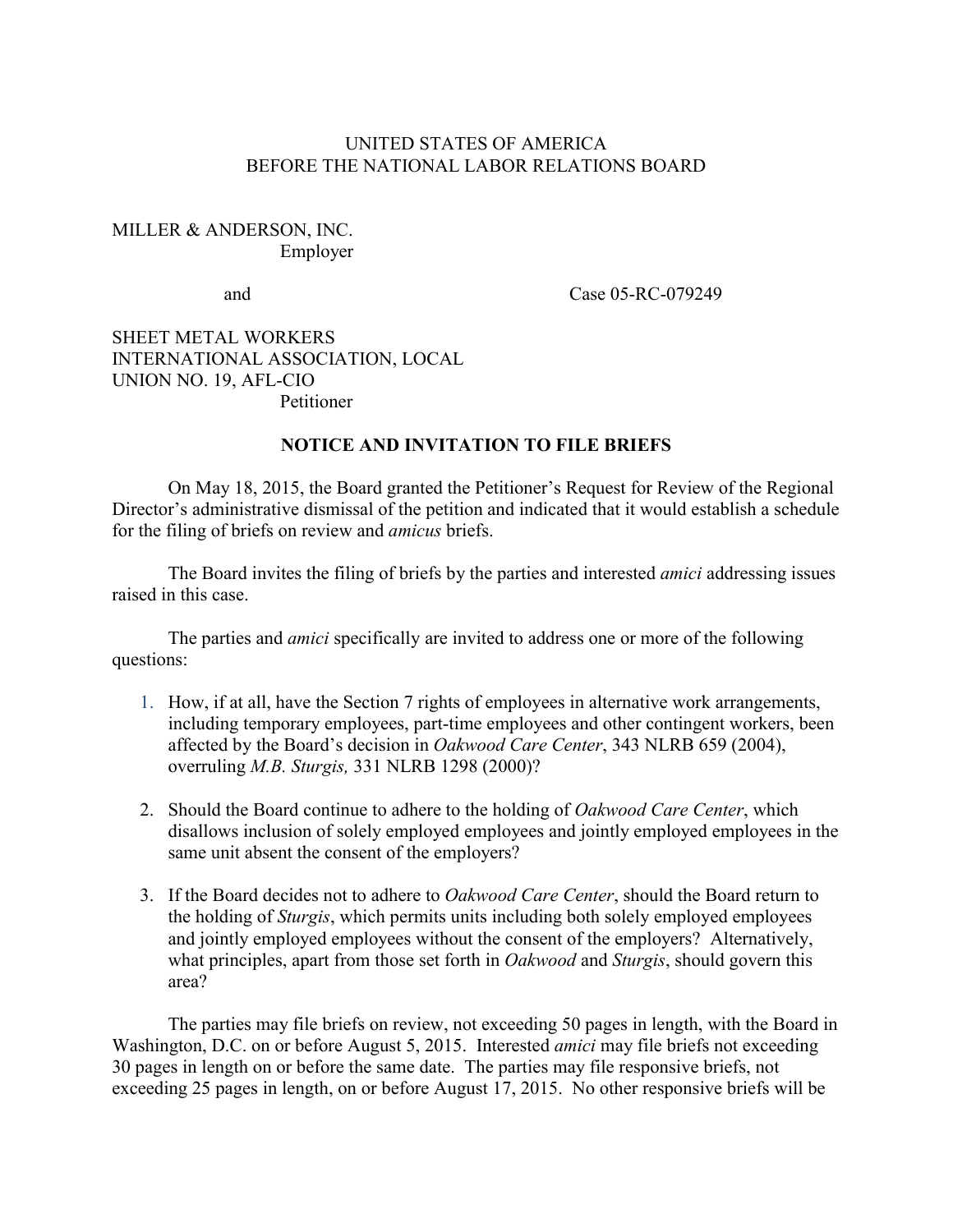## UNITED STATES OF AMERICA BEFORE THE NATIONAL LABOR RELATIONS BOARD

## MILLER & ANDERSON, INC. Employer

and Case 05-RC-079249

## SHEET METAL WORKERS INTERNATIONAL ASSOCIATION, LOCAL UNION NO. 19, AFL-CIO Petitioner

## **NOTICE AND INVITATION TO FILE BRIEFS**

On May 18, 2015, the Board granted the Petitioner's Request for Review of the Regional Director's administrative dismissal of the petition and indicated that it would establish a schedule for the filing of briefs on review and *amicus* briefs.

The Board invites the filing of briefs by the parties and interested *amici* addressing issues raised in this case.

The parties and *amici* specifically are invited to address one or more of the following questions:

- 1. How, if at all, have the Section 7 rights of employees in alternative work arrangements, including temporary employees, part-time employees and other contingent workers, been affected by the Board's decision in *Oakwood Care Center*, 343 NLRB 659 (2004), overruling *M.B. Sturgis,* 331 NLRB 1298 (2000)?
- 2. Should the Board continue to adhere to the holding of *Oakwood Care Center*, which disallows inclusion of solely employed employees and jointly employed employees in the same unit absent the consent of the employers?
- 3. If the Board decides not to adhere to *Oakwood Care Center*, should the Board return to the holding of *Sturgis*, which permits units including both solely employed employees and jointly employed employees without the consent of the employers? Alternatively, what principles, apart from those set forth in *Oakwood* and *Sturgis*, should govern this area?

The parties may file briefs on review, not exceeding 50 pages in length, with the Board in Washington, D.C. on or before August 5, 2015. Interested *amici* may file briefs not exceeding 30 pages in length on or before the same date. The parties may file responsive briefs, not exceeding 25 pages in length, on or before August 17, 2015. No other responsive briefs will be